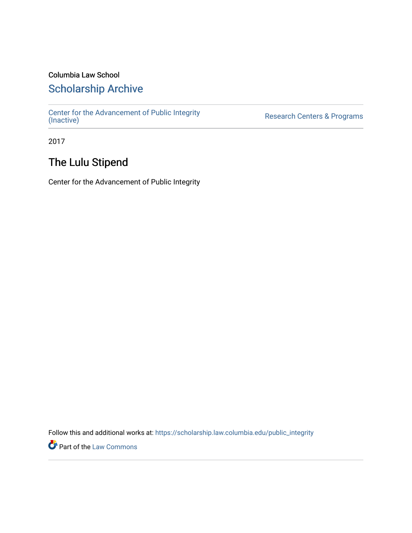### Columbia Law School

## [Scholarship Archive](https://scholarship.law.columbia.edu/)

[Center for the Advancement of Public Integrity](https://scholarship.law.columbia.edu/public_integrity)<br>(Inactive)

Research Centers & Programs

2017

## The Lulu Stipend

Center for the Advancement of Public Integrity

Follow this and additional works at: [https://scholarship.law.columbia.edu/public\\_integrity](https://scholarship.law.columbia.edu/public_integrity?utm_source=scholarship.law.columbia.edu%2Fpublic_integrity%2F57&utm_medium=PDF&utm_campaign=PDFCoverPages)

**Part of the [Law Commons](http://network.bepress.com/hgg/discipline/578?utm_source=scholarship.law.columbia.edu%2Fpublic_integrity%2F57&utm_medium=PDF&utm_campaign=PDFCoverPages)**